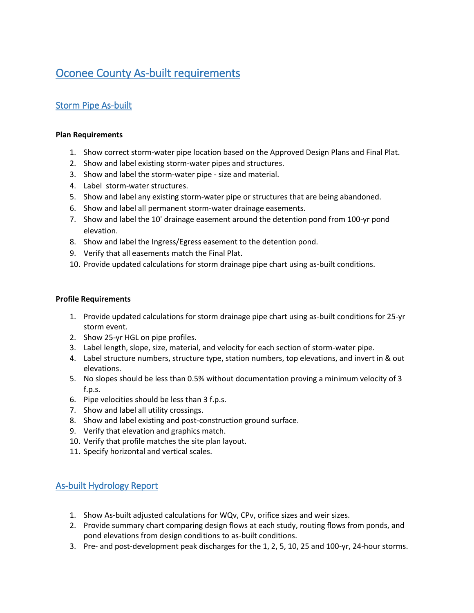# Oconee County As-built requirements

## Storm Pipe As-built

#### **Plan Requirements**

- 1. Show correct storm-water pipe location based on the Approved Design Plans and Final Plat.
- 2. Show and label existing storm-water pipes and structures.
- 3. Show and label the storm-water pipe size and material.
- 4. Label storm-water structures.
- 5. Show and label any existing storm-water pipe or structures that are being abandoned.
- 6. Show and label all permanent storm-water drainage easements.
- 7. Show and label the 10' drainage easement around the detention pond from 100-yr pond elevation.
- 8. Show and label the Ingress/Egress easement to the detention pond.
- 9. Verify that all easements match the Final Plat.
- 10. Provide updated calculations for storm drainage pipe chart using as-built conditions.

#### **Profile Requirements**

- 1. Provide updated calculations for storm drainage pipe chart using as-built conditions for 25-yr storm event.
- 2. Show 25-yr HGL on pipe profiles.
- 3. Label length, slope, size, material, and velocity for each section of storm-water pipe.
- 4. Label structure numbers, structure type, station numbers, top elevations, and invert in & out elevations.
- 5. No slopes should be less than 0.5% without documentation proving a minimum velocity of 3 f.p.s.
- 6. Pipe velocities should be less than 3 f.p.s.
- 7. Show and label all utility crossings.
- 8. Show and label existing and post-construction ground surface.
- 9. Verify that elevation and graphics match.
- 10. Verify that profile matches the site plan layout.
- 11. Specify horizontal and vertical scales.

## As-built Hydrology Report

- 1. Show As-built adjusted calculations for WQv, CPv, orifice sizes and weir sizes.
- 2. Provide summary chart comparing design flows at each study, routing flows from ponds, and pond elevations from design conditions to as-built conditions.
- 3. Pre- and post-development peak discharges for the 1, 2, 5, 10, 25 and 100-yr, 24-hour storms.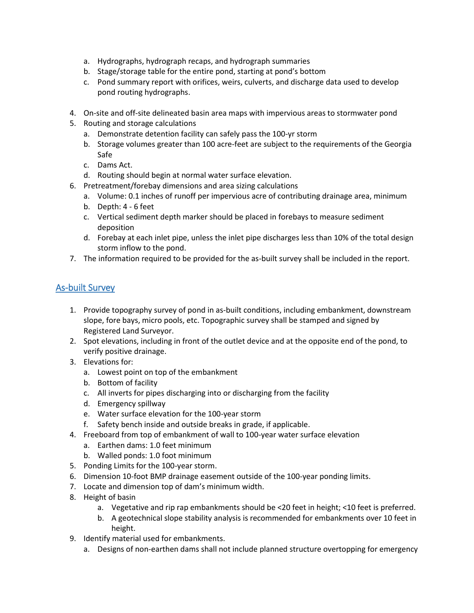- a. Hydrographs, hydrograph recaps, and hydrograph summaries
- b. Stage/storage table for the entire pond, starting at pond's bottom
- c. Pond summary report with orifices, weirs, culverts, and discharge data used to develop pond routing hydrographs.
- 4. On-site and off-site delineated basin area maps with impervious areas to stormwater pond
- 5. Routing and storage calculations
	- a. Demonstrate detention facility can safely pass the 100-yr storm
	- b. Storage volumes greater than 100 acre-feet are subject to the requirements of the Georgia Safe
	- c. Dams Act.
	- d. Routing should begin at normal water surface elevation.
- 6. Pretreatment/forebay dimensions and area sizing calculations
	- a. Volume: 0.1 inches of runoff per impervious acre of contributing drainage area, minimum
	- b. Depth: 4 6 feet
	- c. Vertical sediment depth marker should be placed in forebays to measure sediment deposition
	- d. Forebay at each inlet pipe, unless the inlet pipe discharges less than 10% of the total design storm inflow to the pond.
- 7. The information required to be provided for the as-built survey shall be included in the report.

## As-built Survey

- 1. Provide topography survey of pond in as-built conditions, including embankment, downstream slope, fore bays, micro pools, etc. Topographic survey shall be stamped and signed by Registered Land Surveyor.
- 2. Spot elevations, including in front of the outlet device and at the opposite end of the pond, to verify positive drainage.
- 3. Elevations for:
	- a. Lowest point on top of the embankment
	- b. Bottom of facility
	- c. All inverts for pipes discharging into or discharging from the facility
	- d. Emergency spillway
	- e. Water surface elevation for the 100-year storm
	- f. Safety bench inside and outside breaks in grade, if applicable.
- 4. Freeboard from top of embankment of wall to 100-year water surface elevation
	- a. Earthen dams: 1.0 feet minimum
	- b. Walled ponds: 1.0 foot minimum
- 5. Ponding Limits for the 100-year storm.
- 6. Dimension 10-foot BMP drainage easement outside of the 100-year ponding limits.
- 7. Locate and dimension top of dam's minimum width.
- 8. Height of basin
	- a. Vegetative and rip rap embankments should be <20 feet in height; <10 feet is preferred.
	- b. A geotechnical slope stability analysis is recommended for embankments over 10 feet in height.
- 9. Identify material used for embankments.
	- a. Designs of non-earthen dams shall not include planned structure overtopping for emergency